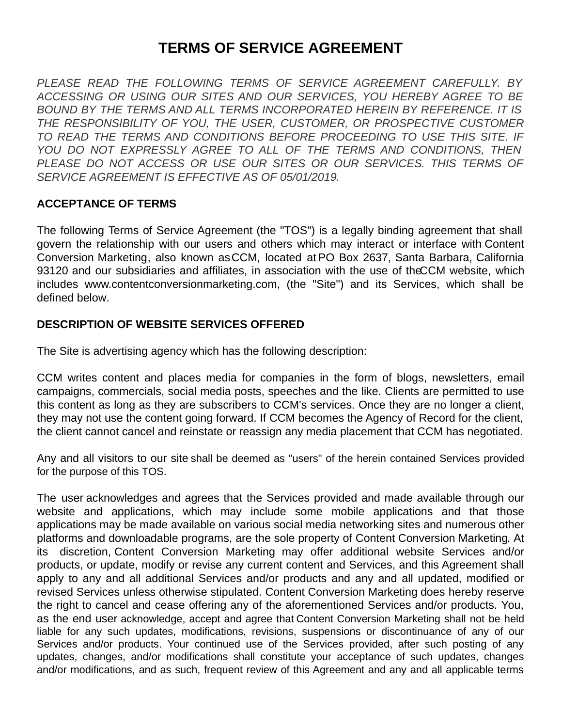# **TERMS OF SERVICE AGREEMENT**

*PLEASE READ THE FOLLOWING TERMS OF SERVICE AGREEMENT CAREFULLY. BY ACCESSING OR USING OUR SITES AND OUR SERVICES, YOU HEREBY AGREE TO BE BOUND BY THE TERMS AND ALL TERMS INCORPORATED HEREIN BY REFERENCE. IT IS THE RESPONSIBILITY OF YOU, THE USER, CUSTOMER, OR PROSPECTIVE CUSTOMER TO READ THE TERMS AND CONDITIONS BEFORE PROCEEDING TO USE THIS SITE. IF YOU DO NOT EXPRESSLY AGREE TO ALL OF THE TERMS AND CONDITIONS, THEN PLEASE DO NOT ACCESS OR USE OUR SITES OR OUR SERVICES. THIS TERMS OF SERVICE AGREEMENT IS EFFECTIVE AS OF 05/01/2019.*

#### **ACCEPTANCE OF TERMS**

The following Terms of Service Agreement (the "TOS") is a legally binding agreement that shall govern the relationship with our users and others which may interact or interface with Content Conversion Marketing, also known asCCM, located at PO Box 2637, Santa Barbara, California 93120 and our subsidiaries and affiliates, in association with the use of theCCM website, which includes www.contentconversionmarketing.com, (the "Site") and its Services, which shall be defined below.

#### **DESCRIPTION OF WEBSITE SERVICES OFFERED**

The Site is advertising agency which has the following description:

CCM writes content and places media for companies in the form of blogs, newsletters, email campaigns, commercials, social media posts, speeches and the like. Clients are permitted to use this content as long as they are subscribers to CCM's services. Once they are no longer a client, they may not use the content going forward. If CCM becomes the Agency of Record for the client, the client cannot cancel and reinstate or reassign any media placement that CCM has negotiated.

Any and all visitors to our site shall be deemed as "users" of the herein contained Services provided for the purpose of this TOS.

The user acknowledges and agrees that the Services provided and made available through our website and applications, which may include some mobile applications and that those applications may be made available on various social media networking sites and numerous other platforms and downloadable programs, are the sole property of Content Conversion Marketing. At its discretion, Content Conversion Marketing may offer additional website Services and/or products, or update, modify or revise any current content and Services, and this Agreement shall apply to any and all additional Services and/or products and any and all updated, modified or revised Services unless otherwise stipulated. Content Conversion Marketing does hereby reserve the right to cancel and cease offering any of the aforementioned Services and/or products. You, as the end user acknowledge, accept and agree that Content Conversion Marketing shall not be held liable for any such updates, modifications, revisions, suspensions or discontinuance of any of our Services and/or products. Your continued use of the Services provided, after such posting of any updates, changes, and/or modifications shall constitute your acceptance of such updates, changes and/or modifications, and as such, frequent review of this Agreement and any and all applicable terms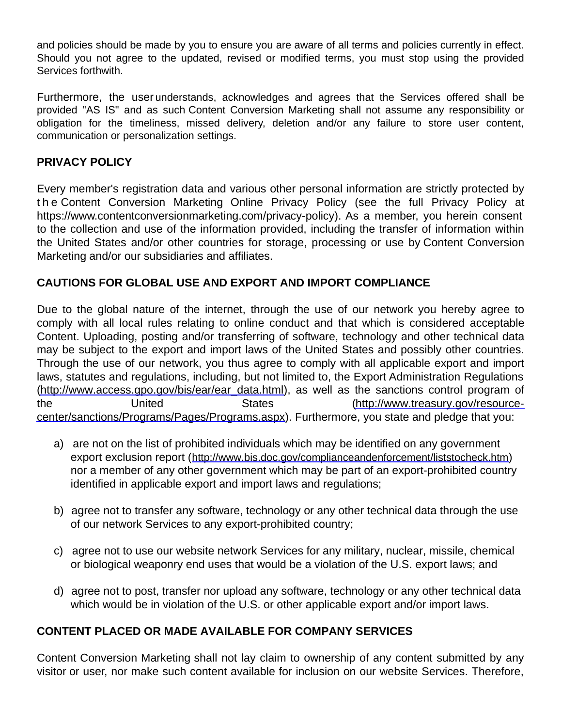and policies should be made by you to ensure you are aware of all terms and policies currently in effect. Should you not agree to the updated, revised or modified terms, you must stop using the provided Services forthwith.

Furthermore, the user understands, acknowledges and agrees that the Services offered shall be provided "AS IS" and as such Content Conversion Marketing shall not assume any responsibility or obligation for the timeliness, missed delivery, deletion and/or any failure to store user content, communication or personalization settings.

# **PRIVACY POLICY**

Every member's registration data and various other personal information are strictly protected by t h e Content Conversion Marketing Online Privacy Policy (see the full Privacy Policy at https://www.contentconversionmarketing.com/privacy-policy). As a member, you herein consent to the collection and use of the information provided, including the transfer of information within the United States and/or other countries for storage, processing or use by Content Conversion Marketing and/or our subsidiaries and affiliates.

# **CAUTIONS FOR GLOBAL USE AND EXPORT AND IMPORT COMPLIANCE**

Due to the global nature of the internet, through the use of our network you hereby agree to comply with all local rules relating to online conduct and that which is considered acceptable Content. Uploading, posting and/or transferring of software, technology and other technical data may be subject to the export and import laws of the United States and possibly other countries. Through the use of our network, you thus agree to comply with all applicable export and import laws, statutes and regulations, including, but not limited to, the Export Administration Regulations [\(http://www.access.gpo.gov/bis/ear/ear\\_data.html](http://www.access.gpo.gov/bis/ear/ear_data.html)), as well as the sanctions control program of the United States (http://www.treasury.gov/resource[center/sanctions/Programs/Pages/Programs.aspx\).](http://www.treasury.gov/resource-center/sanctions/Programs/Pages/Programs.aspx) Furthermore, you state and pledge that you:

- a) are not on the list of prohibited individuals which may be identified on any government export exclusion report (<http://www.bis.doc.gov/complianceandenforcement/liststocheck.htm>) nor a member of any other government which may be part of an export-prohibited country identified in applicable export and import laws and regulations;
- b) agree not to transfer any software, technology or any other technical data through the use of our network Services to any export-prohibited country;
- c) agree not to use our website network Services for any military, nuclear, missile, chemical or biological weaponry end uses that would be a violation of the U.S. export laws; and
- d) agree not to post, transfer nor upload any software, technology or any other technical data which would be in violation of the U.S. or other applicable export and/or import laws.

# **CONTENT PLACED OR MADE AVAILABLE FOR COMPANY SERVICES**

Content Conversion Marketing shall not lay claim to ownership of any content submitted by any visitor or user, nor make such content available for inclusion on our website Services. Therefore,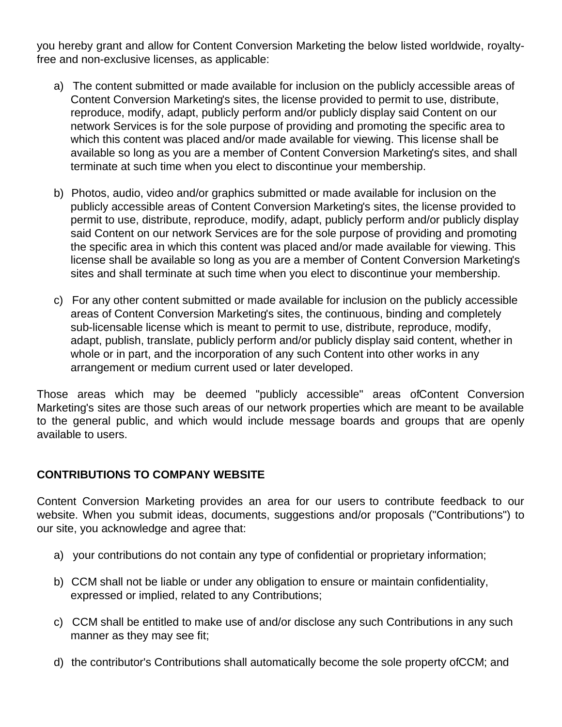you hereby grant and allow for Content Conversion Marketing the below listed worldwide, royaltyfree and non-exclusive licenses, as applicable:

- a) The content submitted or made available for inclusion on the publicly accessible areas of Content Conversion Marketing's sites, the license provided to permit to use, distribute, reproduce, modify, adapt, publicly perform and/or publicly display said Content on our network Services is for the sole purpose of providing and promoting the specific area to which this content was placed and/or made available for viewing. This license shall be available so long as you are a member of Content Conversion Marketing's sites, and shall terminate at such time when you elect to discontinue your membership.
- b) Photos, audio, video and/or graphics submitted or made available for inclusion on the publicly accessible areas of Content Conversion Marketing's sites, the license provided to permit to use, distribute, reproduce, modify, adapt, publicly perform and/or publicly display said Content on our network Services are for the sole purpose of providing and promoting the specific area in which this content was placed and/or made available for viewing. This license shall be available so long as you are a member of Content Conversion Marketing's sites and shall terminate at such time when you elect to discontinue your membership.
- c) For any other content submitted or made available for inclusion on the publicly accessible areas of Content Conversion Marketing's sites, the continuous, binding and completely sub-licensable license which is meant to permit to use, distribute, reproduce, modify, adapt, publish, translate, publicly perform and/or publicly display said content, whether in whole or in part, and the incorporation of any such Content into other works in any arrangement or medium current used or later developed.

Those areas which may be deemed "publicly accessible" areas ofContent Conversion Marketing's sites are those such areas of our network properties which are meant to be available to the general public, and which would include message boards and groups that are openly available to users.

# **CONTRIBUTIONS TO COMPANY WEBSITE**

Content Conversion Marketing provides an area for our users to contribute feedback to our website. When you submit ideas, documents, suggestions and/or proposals ("Contributions") to our site, you acknowledge and agree that:

- a) your contributions do not contain any type of confidential or proprietary information;
- b) CCM shall not be liable or under any obligation to ensure or maintain confidentiality, expressed or implied, related to any Contributions;
- c) CCM shall be entitled to make use of and/or disclose any such Contributions in any such manner as they may see fit;
- d) the contributor's Contributions shall automatically become the sole property ofCCM; and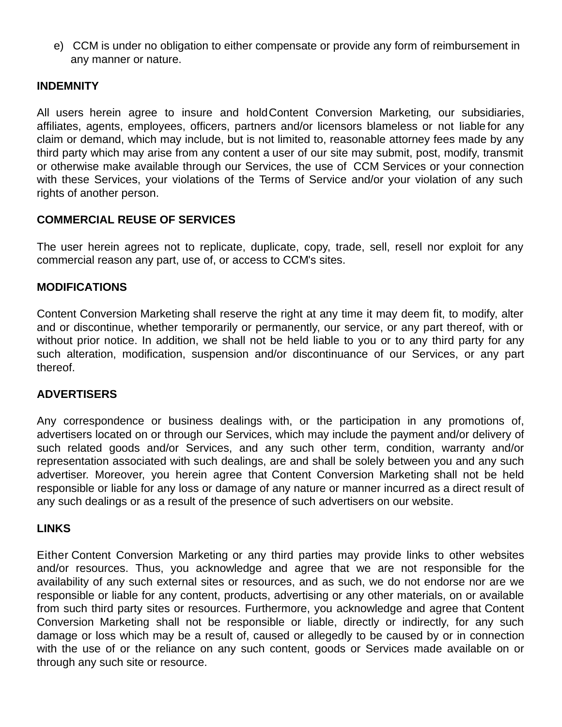e) CCM is under no obligation to either compensate or provide any form of reimbursement in any manner or nature.

#### **INDEMNITY**

All users herein agree to insure and holdContent Conversion Marketing, our subsidiaries, affiliates, agents, employees, officers, partners and/or licensors blameless or not liable for any claim or demand, which may include, but is not limited to, reasonable attorney fees made by any third party which may arise from any content a user of our site may submit, post, modify, transmit or otherwise make available through our Services, the use of CCM Services or your connection with these Services, your violations of the Terms of Service and/or your violation of any such rights of another person.

# **COMMERCIAL REUSE OF SERVICES**

The user herein agrees not to replicate, duplicate, copy, trade, sell, resell nor exploit for any commercial reason any part, use of, or access to CCM's sites.

#### **MODIFICATIONS**

Content Conversion Marketing shall reserve the right at any time it may deem fit, to modify, alter and or discontinue, whether temporarily or permanently, our service, or any part thereof, with or without prior notice. In addition, we shall not be held liable to you or to any third party for any such alteration, modification, suspension and/or discontinuance of our Services, or any part thereof.

# **ADVERTISERS**

Any correspondence or business dealings with, or the participation in any promotions of, advertisers located on or through our Services, which may include the payment and/or delivery of such related goods and/or Services, and any such other term, condition, warranty and/or representation associated with such dealings, are and shall be solely between you and any such advertiser. Moreover, you herein agree that Content Conversion Marketing shall not be held responsible or liable for any loss or damage of any nature or manner incurred as a direct result of any such dealings or as a result of the presence of such advertisers on our website.

#### **LINKS**

Either Content Conversion Marketing or any third parties may provide links to other websites and/or resources. Thus, you acknowledge and agree that we are not responsible for the availability of any such external sites or resources, and as such, we do not endorse nor are we responsible or liable for any content, products, advertising or any other materials, on or available from such third party sites or resources. Furthermore, you acknowledge and agree that Content Conversion Marketing shall not be responsible or liable, directly or indirectly, for any such damage or loss which may be a result of, caused or allegedly to be caused by or in connection with the use of or the reliance on any such content, goods or Services made available on or through any such site or resource.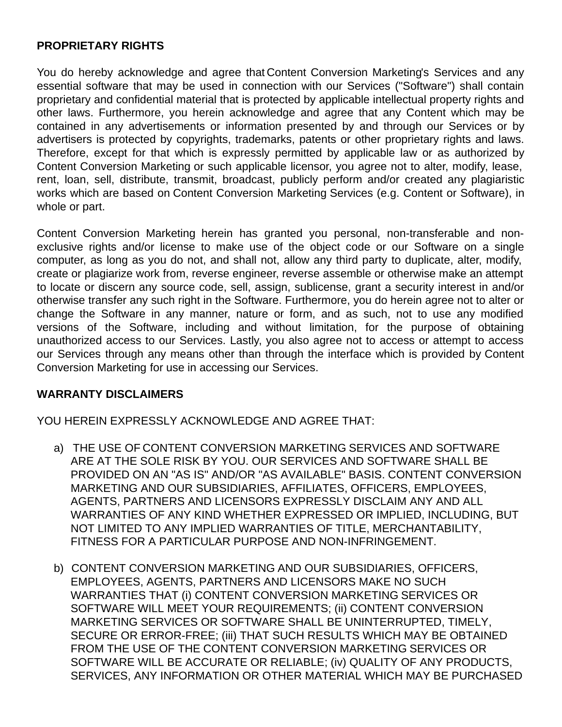#### **PROPRIETARY RIGHTS**

You do hereby acknowledge and agree that Content Conversion Marketing's Services and any essential software that may be used in connection with our Services ("Software") shall contain proprietary and confidential material that is protected by applicable intellectual property rights and other laws. Furthermore, you herein acknowledge and agree that any Content which may be contained in any advertisements or information presented by and through our Services or by advertisers is protected by copyrights, trademarks, patents or other proprietary rights and laws. Therefore, except for that which is expressly permitted by applicable law or as authorized by Content Conversion Marketing or such applicable licensor, you agree not to alter, modify, lease, rent, loan, sell, distribute, transmit, broadcast, publicly perform and/or created any plagiaristic works which are based on Content Conversion Marketing Services (e.g. Content or Software), in whole or part.

Content Conversion Marketing herein has granted you personal, non-transferable and nonexclusive rights and/or license to make use of the object code or our Software on a single computer, as long as you do not, and shall not, allow any third party to duplicate, alter, modify, create or plagiarize work from, reverse engineer, reverse assemble or otherwise make an attempt to locate or discern any source code, sell, assign, sublicense, grant a security interest in and/or otherwise transfer any such right in the Software. Furthermore, you do herein agree not to alter or change the Software in any manner, nature or form, and as such, not to use any modified versions of the Software, including and without limitation, for the purpose of obtaining unauthorized access to our Services. Lastly, you also agree not to access or attempt to access our Services through any means other than through the interface which is provided by Content Conversion Marketing for use in accessing our Services.

#### **WARRANTY DISCLAIMERS**

YOU HEREIN EXPRESSLY ACKNOWLEDGE AND AGREE THAT:

- a) THE USE OF CONTENT CONVERSION MARKETING SERVICES AND SOFTWARE ARE AT THE SOLE RISK BY YOU. OUR SERVICES AND SOFTWARE SHALL BE PROVIDED ON AN "AS IS" AND/OR "AS AVAILABLE" BASIS. CONTENT CONVERSION MARKETING AND OUR SUBSIDIARIES, AFFILIATES, OFFICERS, EMPLOYEES, AGENTS, PARTNERS AND LICENSORS EXPRESSLY DISCLAIM ANY AND ALL WARRANTIES OF ANY KIND WHETHER EXPRESSED OR IMPLIED, INCLUDING, BUT NOT LIMITED TO ANY IMPLIED WARRANTIES OF TITLE, MERCHANTABILITY, FITNESS FOR A PARTICULAR PURPOSE AND NON-INFRINGEMENT.
- b) CONTENT CONVERSION MARKETING AND OUR SUBSIDIARIES, OFFICERS, EMPLOYEES, AGENTS, PARTNERS AND LICENSORS MAKE NO SUCH WARRANTIES THAT (i) CONTENT CONVERSION MARKETING SERVICES OR SOFTWARE WILL MEET YOUR REQUIREMENTS; (ii) CONTENT CONVERSION MARKETING SERVICES OR SOFTWARE SHALL BE UNINTERRUPTED, TIMELY, SECURE OR ERROR-FREE; (iii) THAT SUCH RESULTS WHICH MAY BE OBTAINED FROM THE USE OF THE CONTENT CONVERSION MARKETING SERVICES OR SOFTWARE WILL BE ACCURATE OR RELIABLE; (iv) QUALITY OF ANY PRODUCTS, SERVICES, ANY INFORMATION OR OTHER MATERIAL WHICH MAY BE PURCHASED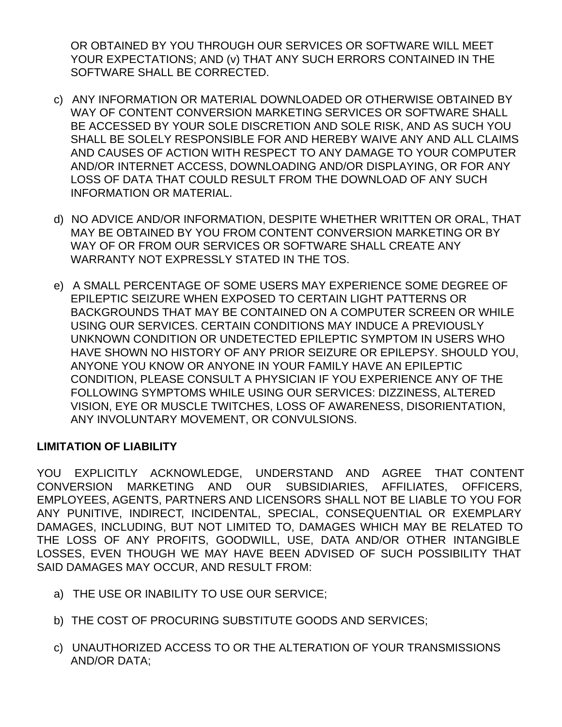OR OBTAINED BY YOU THROUGH OUR SERVICES OR SOFTWARE WILL MEET YOUR EXPECTATIONS; AND (v) THAT ANY SUCH ERRORS CONTAINED IN THE SOFTWARE SHALL BE CORRECTED.

- c) ANY INFORMATION OR MATERIAL DOWNLOADED OR OTHERWISE OBTAINED BY WAY OF CONTENT CONVERSION MARKETING SERVICES OR SOFTWARE SHALL BE ACCESSED BY YOUR SOLE DISCRETION AND SOLE RISK, AND AS SUCH YOU SHALL BE SOLELY RESPONSIBLE FOR AND HEREBY WAIVE ANY AND ALL CLAIMS AND CAUSES OF ACTION WITH RESPECT TO ANY DAMAGE TO YOUR COMPUTER AND/OR INTERNET ACCESS, DOWNLOADING AND/OR DISPLAYING, OR FOR ANY LOSS OF DATA THAT COULD RESULT FROM THE DOWNLOAD OF ANY SUCH INFORMATION OR MATERIAL.
- d) NO ADVICE AND/OR INFORMATION, DESPITE WHETHER WRITTEN OR ORAL, THAT MAY BE OBTAINED BY YOU FROM CONTENT CONVERSION MARKETING OR BY WAY OF OR FROM OUR SERVICES OR SOFTWARE SHALL CREATE ANY WARRANTY NOT EXPRESSLY STATED IN THE TOS.
- e) A SMALL PERCENTAGE OF SOME USERS MAY EXPERIENCE SOME DEGREE OF EPILEPTIC SEIZURE WHEN EXPOSED TO CERTAIN LIGHT PATTERNS OR BACKGROUNDS THAT MAY BE CONTAINED ON A COMPUTER SCREEN OR WHILE USING OUR SERVICES. CERTAIN CONDITIONS MAY INDUCE A PREVIOUSLY UNKNOWN CONDITION OR UNDETECTED EPILEPTIC SYMPTOM IN USERS WHO HAVE SHOWN NO HISTORY OF ANY PRIOR SEIZURE OR EPILEPSY. SHOULD YOU, ANYONE YOU KNOW OR ANYONE IN YOUR FAMILY HAVE AN EPILEPTIC CONDITION, PLEASE CONSULT A PHYSICIAN IF YOU EXPERIENCE ANY OF THE FOLLOWING SYMPTOMS WHILE USING OUR SERVICES: DIZZINESS, ALTERED VISION, EYE OR MUSCLE TWITCHES, LOSS OF AWARENESS, DISORIENTATION, ANY INVOLUNTARY MOVEMENT, OR CONVULSIONS.

# **LIMITATION OF LIABILITY**

YOU EXPLICITLY ACKNOWLEDGE, UNDERSTAND AND AGREE THAT CONTENT CONVERSION MARKETING AND OUR SUBSIDIARIES, AFFILIATES, OFFICERS, EMPLOYEES, AGENTS, PARTNERS AND LICENSORS SHALL NOT BE LIABLE TO YOU FOR ANY PUNITIVE, INDIRECT, INCIDENTAL, SPECIAL, CONSEQUENTIAL OR EXEMPLARY DAMAGES, INCLUDING, BUT NOT LIMITED TO, DAMAGES WHICH MAY BE RELATED TO THE LOSS OF ANY PROFITS, GOODWILL, USE, DATA AND/OR OTHER INTANGIBLE LOSSES, EVEN THOUGH WE MAY HAVE BEEN ADVISED OF SUCH POSSIBILITY THAT SAID DAMAGES MAY OCCUR, AND RESULT FROM:

- a) THE USE OR INABILITY TO USE OUR SERVICE;
- b) THE COST OF PROCURING SUBSTITUTE GOODS AND SERVICES;
- c) UNAUTHORIZED ACCESS TO OR THE ALTERATION OF YOUR TRANSMISSIONS AND/OR DATA;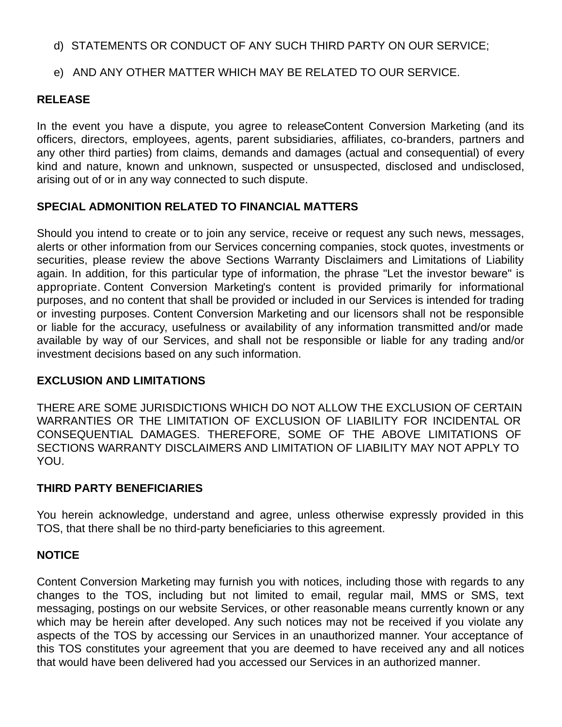#### d) STATEMENTS OR CONDUCT OF ANY SUCH THIRD PARTY ON OUR SERVICE;

# e) AND ANY OTHER MATTER WHICH MAY BE RELATED TO OUR SERVICE.

#### **RELEASE**

In the event you have a dispute, you agree to releaseContent Conversion Marketing (and its officers, directors, employees, agents, parent subsidiaries, affiliates, co-branders, partners and any other third parties) from claims, demands and damages (actual and consequential) of every kind and nature, known and unknown, suspected or unsuspected, disclosed and undisclosed, arising out of or in any way connected to such dispute.

# **SPECIAL ADMONITION RELATED TO FINANCIAL MATTERS**

Should you intend to create or to join any service, receive or request any such news, messages, alerts or other information from our Services concerning companies, stock quotes, investments or securities, please review the above Sections Warranty Disclaimers and Limitations of Liability again. In addition, for this particular type of information, the phrase "Let the investor beware" is appropriate. Content Conversion Marketing's content is provided primarily for informational purposes, and no content that shall be provided or included in our Services is intended for trading or investing purposes. Content Conversion Marketing and our licensors shall not be responsible or liable for the accuracy, usefulness or availability of any information transmitted and/or made available by way of our Services, and shall not be responsible or liable for any trading and/or investment decisions based on any such information.

#### **EXCLUSION AND LIMITATIONS**

THERE ARE SOME JURISDICTIONS WHICH DO NOT ALLOW THE EXCLUSION OF CERTAIN WARRANTIES OR THE LIMITATION OF EXCLUSION OF LIABILITY FOR INCIDENTAL OR CONSEQUENTIAL DAMAGES. THEREFORE, SOME OF THE ABOVE LIMITATIONS OF SECTIONS WARRANTY DISCLAIMERS AND LIMITATION OF LIABILITY MAY NOT APPLY TO YOU.

# **THIRD PARTY BENEFICIARIES**

You herein acknowledge, understand and agree, unless otherwise expressly provided in this TOS, that there shall be no third-party beneficiaries to this agreement.

# **NOTICE**

Content Conversion Marketing may furnish you with notices, including those with regards to any changes to the TOS, including but not limited to email, regular mail, MMS or SMS, text messaging, postings on our website Services, or other reasonable means currently known or any which may be herein after developed. Any such notices may not be received if you violate any aspects of the TOS by accessing our Services in an unauthorized manner. Your acceptance of this TOS constitutes your agreement that you are deemed to have received any and all notices that would have been delivered had you accessed our Services in an authorized manner.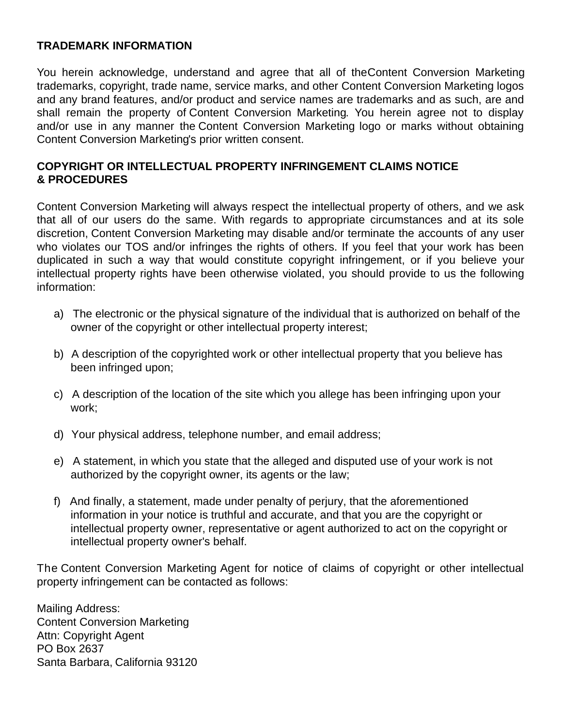#### **TRADEMARK INFORMATION**

You herein acknowledge, understand and agree that all of theContent Conversion Marketing trademarks, copyright, trade name, service marks, and other Content Conversion Marketing logos and any brand features, and/or product and service names are trademarks and as such, are and shall remain the property of Content Conversion Marketing. You herein agree not to display and/or use in any manner the Content Conversion Marketing logo or marks without obtaining Content Conversion Marketing's prior written consent.

# **COPYRIGHT OR INTELLECTUAL PROPERTY INFRINGEMENT CLAIMS NOTICE & PROCEDURES**

Content Conversion Marketing will always respect the intellectual property of others, and we ask that all of our users do the same. With regards to appropriate circumstances and at its sole discretion, Content Conversion Marketing may disable and/or terminate the accounts of any user who violates our TOS and/or infringes the rights of others. If you feel that your work has been duplicated in such a way that would constitute copyright infringement, or if you believe your intellectual property rights have been otherwise violated, you should provide to us the following information:

- a) The electronic or the physical signature of the individual that is authorized on behalf of the owner of the copyright or other intellectual property interest;
- b) A description of the copyrighted work or other intellectual property that you believe has been infringed upon;
- c) A description of the location of the site which you allege has been infringing upon your work;
- d) Your physical address, telephone number, and email address;
- e) A statement, in which you state that the alleged and disputed use of your work is not authorized by the copyright owner, its agents or the law;
- f) And finally, a statement, made under penalty of perjury, that the aforementioned information in your notice is truthful and accurate, and that you are the copyright or intellectual property owner, representative or agent authorized to act on the copyright or intellectual property owner's behalf.

The Content Conversion Marketing Agent for notice of claims of copyright or other intellectual property infringement can be contacted as follows:

Mailing Address: Content Conversion Marketing Attn: Copyright Agent PO Box 2637 Santa Barbara, California 93120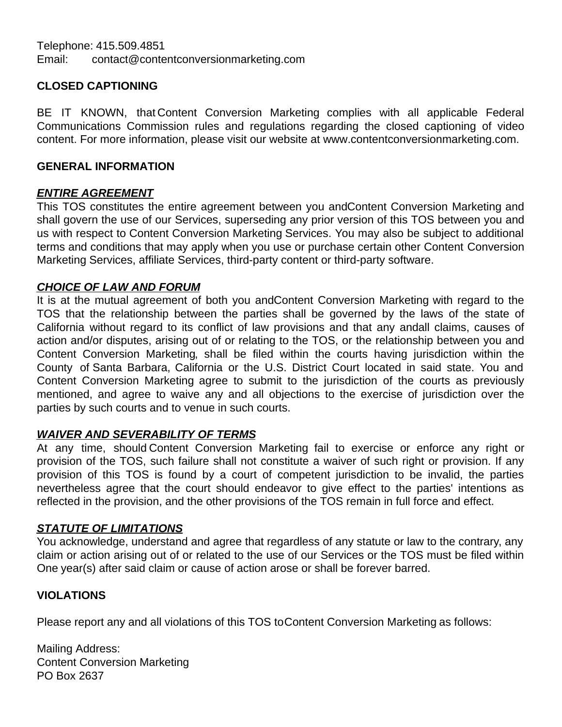# **CLOSED CAPTIONING**

BE IT KNOWN, that Content Conversion Marketing complies with all applicable Federal Communications Commission rules and regulations regarding the closed captioning of video content. For more information, please visit our website at www.contentconversionmarketing.com.

#### **GENERAL INFORMATION**

# *ENTIRE AGREEMENT*

This TOS constitutes the entire agreement between you andContent Conversion Marketing and shall govern the use of our Services, superseding any prior version of this TOS between you and us with respect to Content Conversion Marketing Services. You may also be subject to additional terms and conditions that may apply when you use or purchase certain other Content Conversion Marketing Services, affiliate Services, third-party content or third-party software.

# *CHOICE OF LAW AND FORUM*

It is at the mutual agreement of both you andContent Conversion Marketing with regard to the TOS that the relationship between the parties shall be governed by the laws of the state of California without regard to its conflict of law provisions and that any andall claims, causes of action and/or disputes, arising out of or relating to the TOS, or the relationship between you and Content Conversion Marketing, shall be filed within the courts having jurisdiction within the County of Santa Barbara, California or the U.S. District Court located in said state. You and Content Conversion Marketing agree to submit to the jurisdiction of the courts as previously mentioned, and agree to waive any and all objections to the exercise of jurisdiction over the parties by such courts and to venue in such courts.

# *WAIVER AND SEVERABILITY OF TERMS*

At any time, should Content Conversion Marketing fail to exercise or enforce any right or provision of the TOS, such failure shall not constitute a waiver of such right or provision. If any provision of this TOS is found by a court of competent jurisdiction to be invalid, the parties nevertheless agree that the court should endeavor to give effect to the parties' intentions as reflected in the provision, and the other provisions of the TOS remain in full force and effect.

#### *STATUTE OF LIMITATIONS*

You acknowledge, understand and agree that regardless of any statute or law to the contrary, any claim or action arising out of or related to the use of our Services or the TOS must be filed within One year(s) after said claim or cause of action arose or shall be forever barred.

# **VIOLATIONS**

Please report any and all violations of this TOS toContent Conversion Marketing as follows:

Mailing Address: Content Conversion Marketing PO Box 2637